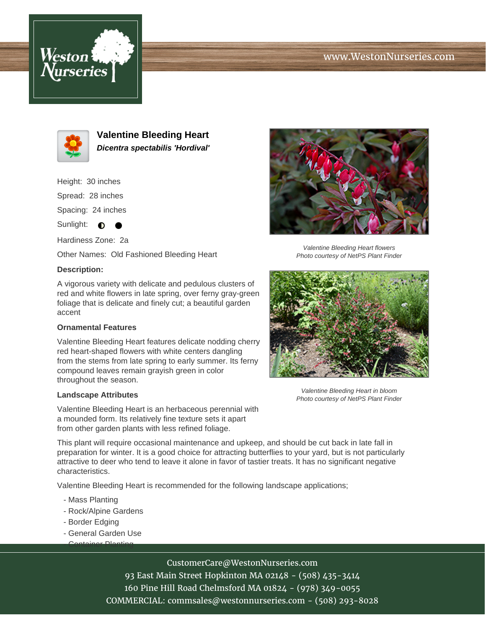# www.WestonNurseries.com





**Valentine Bleeding Heart Dicentra spectabilis 'Hordival'**

Height: 30 inches

Spread: 28 inches

Spacing: 24 inches

Sunlight:  $\bullet$  $\bullet$ 

Hardiness Zone: 2a

Other Names: Old Fashioned Bleeding Heart

### **Description:**

A vigorous variety with delicate and pedulous clusters of red and white flowers in late spring, over ferny gray-green foliage that is delicate and finely cut; a beautiful garden accent

### **Ornamental Features**

Valentine Bleeding Heart features delicate nodding cherry red heart-shaped flowers with white centers dangling from the stems from late spring to early summer. Its ferny compound leaves remain grayish green in color throughout the season.

#### **Landscape Attributes**

Valentine Bleeding Heart is an herbaceous perennial with a mounded form. Its relatively fine texture sets it apart from other garden plants with less refined foliage.

This plant will require occasional maintenance and upkeep, and should be cut back in late fall in preparation for winter. It is a good choice for attracting butterflies to your yard, but is not particularly attractive to deer who tend to leave it alone in favor of tastier treats. It has no significant negative characteristics.

Valentine Bleeding Heart is recommended for the following landscape applications;

- Mass Planting
- Rock/Alpine Gardens
- Border Edging
- General Garden Use - Container Planting



Photo courtesy of NetPS Plant Finder

Valentine Bleeding Heart flowers



Valentine Bleeding Heart in bloom Photo courtesy of NetPS Plant Finder

# CustomerCare@WestonNurseries.com

93 East Main Street Hopkinton MA 02148 - (508) 435-3414 160 Pine Hill Road Chelmsford MA 01824 - (978) 349-0055 COMMERCIAL: commsales@westonnurseries.com - (508) 293-8028